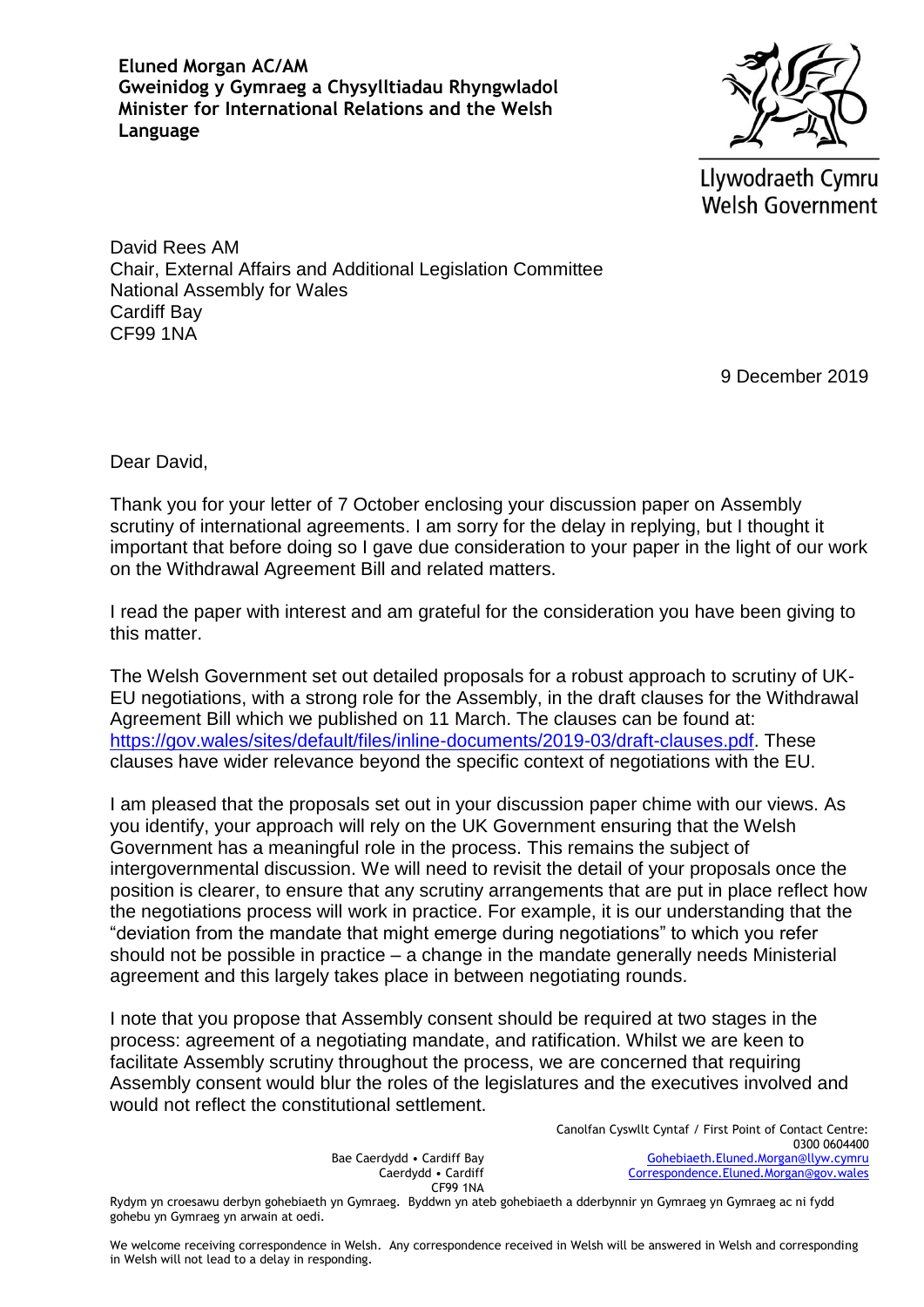**Eluned Morgan AC/AM Gweinidog y Gymraeg a Chysylltiadau Rhyngwladol Minister for International Relations and the Welsh Language**



Llywodraeth Cymru **Welsh Government** 

David Rees AM Chair, External Affairs and Additional Legislation Committee National Assembly for Wales Cardiff Bay CF99 1NA

9 December 2019

Dear David,

Thank you for your letter of 7 October enclosing your discussion paper on Assembly scrutiny of international agreements. I am sorry for the delay in replying, but I thought it important that before doing so I gave due consideration to your paper in the light of our work on the Withdrawal Agreement Bill and related matters.

I read the paper with interest and am grateful for the consideration you have been giving to this matter.

The Welsh Government set out detailed proposals for a robust approach to scrutiny of UK-EU negotiations, with a strong role for the Assembly, in the draft clauses for the Withdrawal Agreement Bill which we published on 11 March. The clauses can be found at: [https://gov.wales/sites/default/files/inline-documents/2019-03/draft-clauses.pdf.](https://gov.wales/sites/default/files/inline-documents/2019-03/draft-clauses.pdf) These clauses have wider relevance beyond the specific context of negotiations with the EU.

I am pleased that the proposals set out in your discussion paper chime with our views. As you identify, your approach will rely on the UK Government ensuring that the Welsh Government has a meaningful role in the process. This remains the subject of intergovernmental discussion. We will need to revisit the detail of your proposals once the position is clearer, to ensure that any scrutiny arrangements that are put in place reflect how the negotiations process will work in practice. For example, it is our understanding that the "deviation from the mandate that might emerge during negotiations" to which you refer should not be possible in practice – a change in the mandate generally needs Ministerial agreement and this largely takes place in between negotiating rounds.

I note that you propose that Assembly consent should be required at two stages in the process: agreement of a negotiating mandate, and ratification. Whilst we are keen to facilitate Assembly scrutiny throughout the process, we are concerned that requiring Assembly consent would blur the roles of the legislatures and the executives involved and would not reflect the constitutional settlement.

> Bae Caerdydd • Cardiff Bay Caerdydd • Cardiff CF99 1NA

Canolfan Cyswllt Cyntaf / First Point of Contact Centre: 0300 0604400 [Gohebiaeth.Eluned.Morgan@llyw.cymru](mailto:Gohebiaeth.Eluned.Morgan@llyw.cymru) [Correspondence.Eluned.Morgan@gov.wales](mailto:Correspondence.Eluned.Morgan@gov.wales)

Rydym yn croesawu derbyn gohebiaeth yn Gymraeg. Byddwn yn ateb gohebiaeth a dderbynnir yn Gymraeg yn Gymraeg ac ni fydd gohebu yn Gymraeg yn arwain at oedi.

We welcome receiving correspondence in Welsh. Any correspondence received in Welsh will be answered in Welsh and corresponding in Welsh will not lead to a delay in responding.